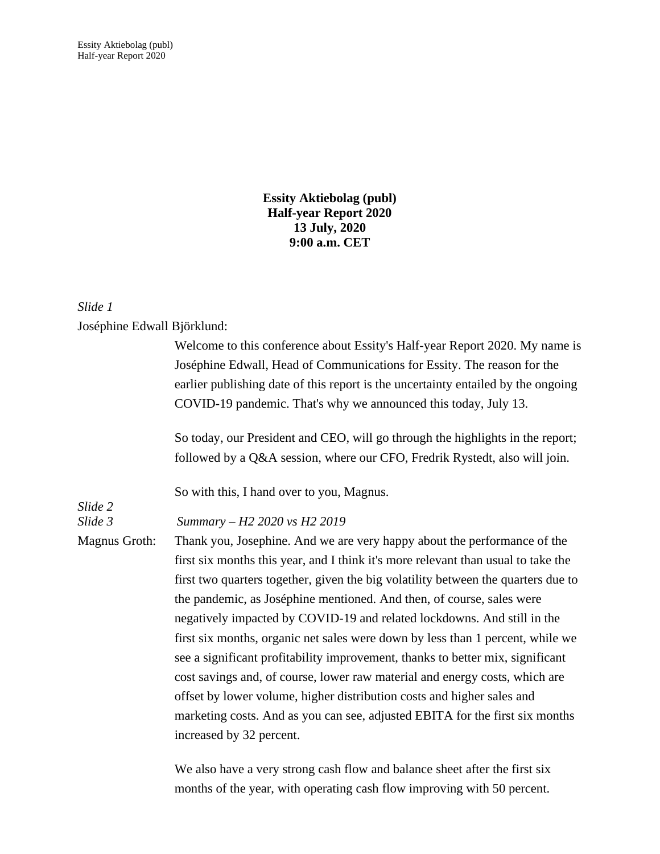Essity Aktiebolag (publ) Half-year Report 2020

> **Essity Aktiebolag (publ) Half-year Report 2020 13 July, 2020 9:00 a.m. CET**

# *Slide 1*

## Joséphine Edwall Björklund:

|               | Welcome to this conference about Essity's Half-year Report 2020. My name is<br>Joséphine Edwall, Head of Communications for Essity. The reason for the |
|---------------|--------------------------------------------------------------------------------------------------------------------------------------------------------|
|               | earlier publishing date of this report is the uncertainty entailed by the ongoing                                                                      |
|               | COVID-19 pandemic. That's why we announced this today, July 13.                                                                                        |
|               | So today, our President and CEO, will go through the highlights in the report;                                                                         |
|               | followed by a Q&A session, where our CFO, Fredrik Rystedt, also will join.                                                                             |
| Slide 2       | So with this, I hand over to you, Magnus.                                                                                                              |
| Slide 3       | Summary - H2 2020 vs H2 2019                                                                                                                           |
| Magnus Groth: | Thank you, Josephine. And we are very happy about the performance of the                                                                               |
|               | first six months this year, and I think it's more relevant than usual to take the                                                                      |
|               | first two quarters together, given the big volatility between the quarters due to                                                                      |
|               | the pandemic, as Joséphine mentioned. And then, of course, sales were                                                                                  |
|               | negatively impacted by COVID-19 and related lockdowns. And still in the                                                                                |
|               | first six months, organic net sales were down by less than 1 percent, while we                                                                         |
|               | see a significant profitability improvement, thanks to better mix, significant                                                                         |
|               | cost savings and, of course, lower raw material and energy costs, which are                                                                            |
|               | offset by lower volume, higher distribution costs and higher sales and                                                                                 |
|               | marketing costs. And as you can see, adjusted EBITA for the first six months                                                                           |
|               | increased by 32 percent.                                                                                                                               |
|               |                                                                                                                                                        |
|               |                                                                                                                                                        |

We also have a very strong cash flow and balance sheet after the first six months of the year, with operating cash flow improving with 50 percent.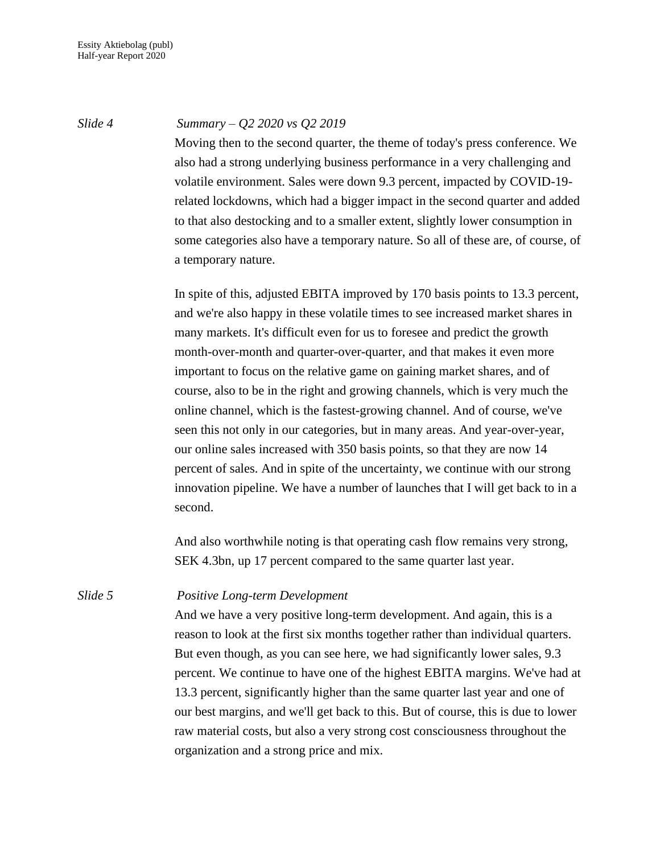#### *Slide 4 Summary – Q2 2020 vs Q2 2019*

Moving then to the second quarter, the theme of today's press conference. We also had a strong underlying business performance in a very challenging and volatile environment. Sales were down 9.3 percent, impacted by COVID-19 related lockdowns, which had a bigger impact in the second quarter and added to that also destocking and to a smaller extent, slightly lower consumption in some categories also have a temporary nature. So all of these are, of course, of a temporary nature.

In spite of this, adjusted EBITA improved by 170 basis points to 13.3 percent, and we're also happy in these volatile times to see increased market shares in many markets. It's difficult even for us to foresee and predict the growth month-over-month and quarter-over-quarter, and that makes it even more important to focus on the relative game on gaining market shares, and of course, also to be in the right and growing channels, which is very much the online channel, which is the fastest-growing channel. And of course, we've seen this not only in our categories, but in many areas. And year-over-year, our online sales increased with 350 basis points, so that they are now 14 percent of sales. And in spite of the uncertainty, we continue with our strong innovation pipeline. We have a number of launches that I will get back to in a second.

And also worthwhile noting is that operating cash flow remains very strong, SEK 4.3bn, up 17 percent compared to the same quarter last year.

## *Slide 5 Positive Long-term Development*

And we have a very positive long-term development. And again, this is a reason to look at the first six months together rather than individual quarters. But even though, as you can see here, we had significantly lower sales, 9.3 percent. We continue to have one of the highest EBITA margins. We've had at 13.3 percent, significantly higher than the same quarter last year and one of our best margins, and we'll get back to this. But of course, this is due to lower raw material costs, but also a very strong cost consciousness throughout the organization and a strong price and mix.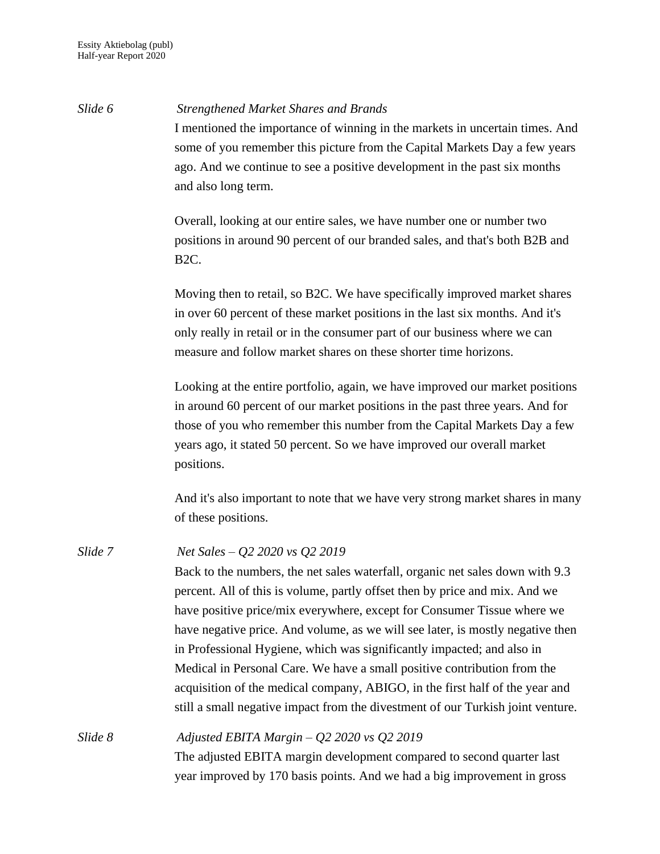*Slide 6 Strengthened Market Shares and Brands* I mentioned the importance of winning in the markets in uncertain times. And some of you remember this picture from the Capital Markets Day a few years ago. And we continue to see a positive development in the past six months and also long term. Overall, looking at our entire sales, we have number one or number two positions in around 90 percent of our branded sales, and that's both B2B and B2C. Moving then to retail, so B2C. We have specifically improved market shares in over 60 percent of these market positions in the last six months. And it's only really in retail or in the consumer part of our business where we can measure and follow market shares on these shorter time horizons. Looking at the entire portfolio, again, we have improved our market positions in around 60 percent of our market positions in the past three years. And for those of you who remember this number from the Capital Markets Day a few years ago, it stated 50 percent. So we have improved our overall market positions. And it's also important to note that we have very strong market shares in many of these positions. *Slide 7 Net Sales – Q2 2020 vs Q2 2019* Back to the numbers, the net sales waterfall, organic net sales down with 9.3 percent. All of this is volume, partly offset then by price and mix. And we have positive price/mix everywhere, except for Consumer Tissue where we have negative price. And volume, as we will see later, is mostly negative then in Professional Hygiene, which was significantly impacted; and also in Medical in Personal Care. We have a small positive contribution from the acquisition of the medical company, ABIGO, in the first half of the year and still a small negative impact from the divestment of our Turkish joint venture. *Slide 8 Adjusted EBITA Margin – Q2 2020 vs Q2 2019* The adjusted EBITA margin development compared to second quarter last year improved by 170 basis points. And we had a big improvement in gross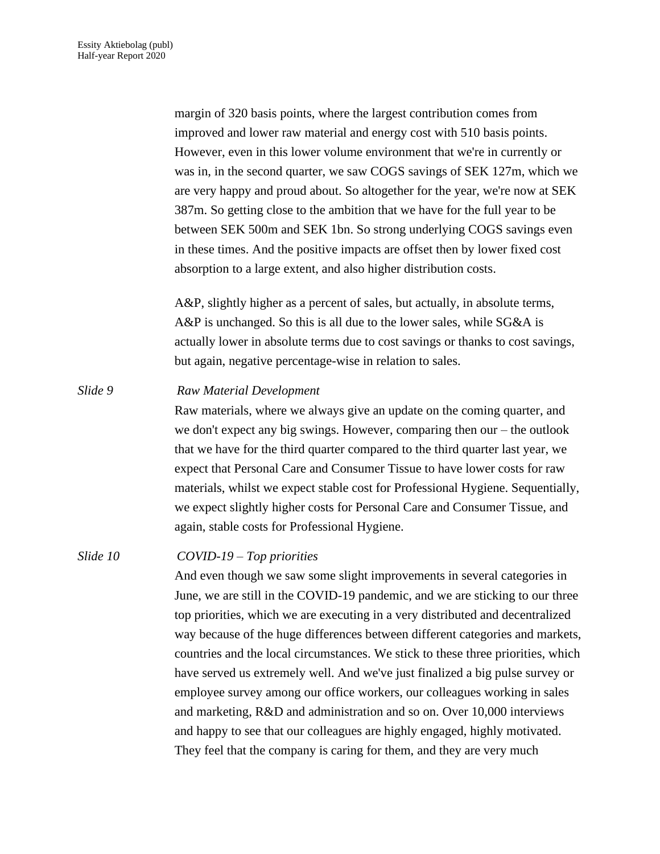margin of 320 basis points, where the largest contribution comes from improved and lower raw material and energy cost with 510 basis points. However, even in this lower volume environment that we're in currently or was in, in the second quarter, we saw COGS savings of SEK 127m, which we are very happy and proud about. So altogether for the year, we're now at SEK 387m. So getting close to the ambition that we have for the full year to be between SEK 500m and SEK 1bn. So strong underlying COGS savings even in these times. And the positive impacts are offset then by lower fixed cost absorption to a large extent, and also higher distribution costs.

A&P, slightly higher as a percent of sales, but actually, in absolute terms, A&P is unchanged. So this is all due to the lower sales, while SG&A is actually lower in absolute terms due to cost savings or thanks to cost savings, but again, negative percentage-wise in relation to sales.

### *Slide 9 Raw Material Development*

Raw materials, where we always give an update on the coming quarter, and we don't expect any big swings. However, comparing then our – the outlook that we have for the third quarter compared to the third quarter last year, we expect that Personal Care and Consumer Tissue to have lower costs for raw materials, whilst we expect stable cost for Professional Hygiene. Sequentially, we expect slightly higher costs for Personal Care and Consumer Tissue, and again, stable costs for Professional Hygiene.

### *Slide 10 COVID-19 – Top priorities*

And even though we saw some slight improvements in several categories in June, we are still in the COVID-19 pandemic, and we are sticking to our three top priorities, which we are executing in a very distributed and decentralized way because of the huge differences between different categories and markets, countries and the local circumstances. We stick to these three priorities, which have served us extremely well. And we've just finalized a big pulse survey or employee survey among our office workers, our colleagues working in sales and marketing, R&D and administration and so on. Over 10,000 interviews and happy to see that our colleagues are highly engaged, highly motivated. They feel that the company is caring for them, and they are very much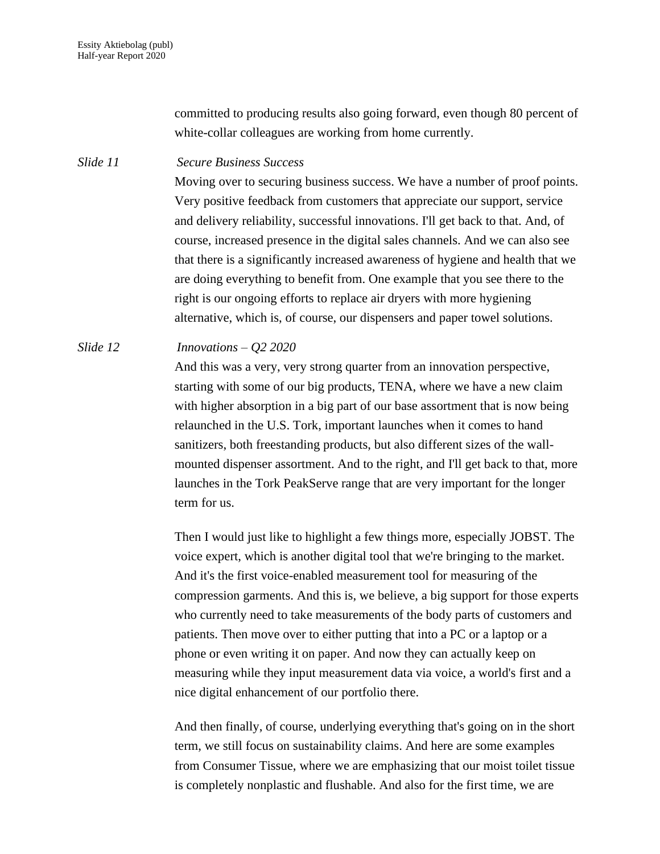committed to producing results also going forward, even though 80 percent of white-collar colleagues are working from home currently.

### *Slide 11 Secure Business Success*

Moving over to securing business success. We have a number of proof points. Very positive feedback from customers that appreciate our support, service and delivery reliability, successful innovations. I'll get back to that. And, of course, increased presence in the digital sales channels. And we can also see that there is a significantly increased awareness of hygiene and health that we are doing everything to benefit from. One example that you see there to the right is our ongoing efforts to replace air dryers with more hygiening alternative, which is, of course, our dispensers and paper towel solutions.

## *Slide 12 Innovations – Q2 2020*

And this was a very, very strong quarter from an innovation perspective, starting with some of our big products, TENA, where we have a new claim with higher absorption in a big part of our base assortment that is now being relaunched in the U.S. Tork, important launches when it comes to hand sanitizers, both freestanding products, but also different sizes of the wallmounted dispenser assortment. And to the right, and I'll get back to that, more launches in the Tork PeakServe range that are very important for the longer term for us.

Then I would just like to highlight a few things more, especially JOBST. The voice expert, which is another digital tool that we're bringing to the market. And it's the first voice-enabled measurement tool for measuring of the compression garments. And this is, we believe, a big support for those experts who currently need to take measurements of the body parts of customers and patients. Then move over to either putting that into a PC or a laptop or a phone or even writing it on paper. And now they can actually keep on measuring while they input measurement data via voice, a world's first and a nice digital enhancement of our portfolio there.

And then finally, of course, underlying everything that's going on in the short term, we still focus on sustainability claims. And here are some examples from Consumer Tissue, where we are emphasizing that our moist toilet tissue is completely nonplastic and flushable. And also for the first time, we are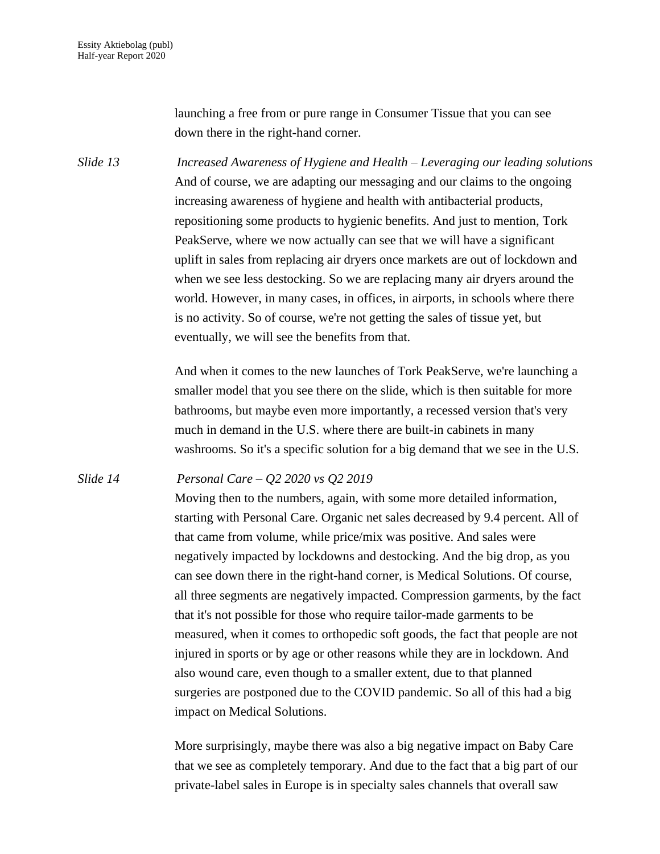launching a free from or pure range in Consumer Tissue that you can see down there in the right-hand corner.

*Slide 13 Increased Awareness of Hygiene and Health – Leveraging our leading solutions* And of course, we are adapting our messaging and our claims to the ongoing increasing awareness of hygiene and health with antibacterial products, repositioning some products to hygienic benefits. And just to mention, Tork PeakServe, where we now actually can see that we will have a significant uplift in sales from replacing air dryers once markets are out of lockdown and when we see less destocking. So we are replacing many air dryers around the world. However, in many cases, in offices, in airports, in schools where there is no activity. So of course, we're not getting the sales of tissue yet, but eventually, we will see the benefits from that.

> And when it comes to the new launches of Tork PeakServe, we're launching a smaller model that you see there on the slide, which is then suitable for more bathrooms, but maybe even more importantly, a recessed version that's very much in demand in the U.S. where there are built-in cabinets in many washrooms. So it's a specific solution for a big demand that we see in the U.S.

*Slide 14 Personal Care – Q2 2020 vs Q2 2019*

Moving then to the numbers, again, with some more detailed information, starting with Personal Care. Organic net sales decreased by 9.4 percent. All of that came from volume, while price/mix was positive. And sales were negatively impacted by lockdowns and destocking. And the big drop, as you can see down there in the right-hand corner, is Medical Solutions. Of course, all three segments are negatively impacted. Compression garments, by the fact that it's not possible for those who require tailor-made garments to be measured, when it comes to orthopedic soft goods, the fact that people are not injured in sports or by age or other reasons while they are in lockdown. And also wound care, even though to a smaller extent, due to that planned surgeries are postponed due to the COVID pandemic. So all of this had a big impact on Medical Solutions.

More surprisingly, maybe there was also a big negative impact on Baby Care that we see as completely temporary. And due to the fact that a big part of our private-label sales in Europe is in specialty sales channels that overall saw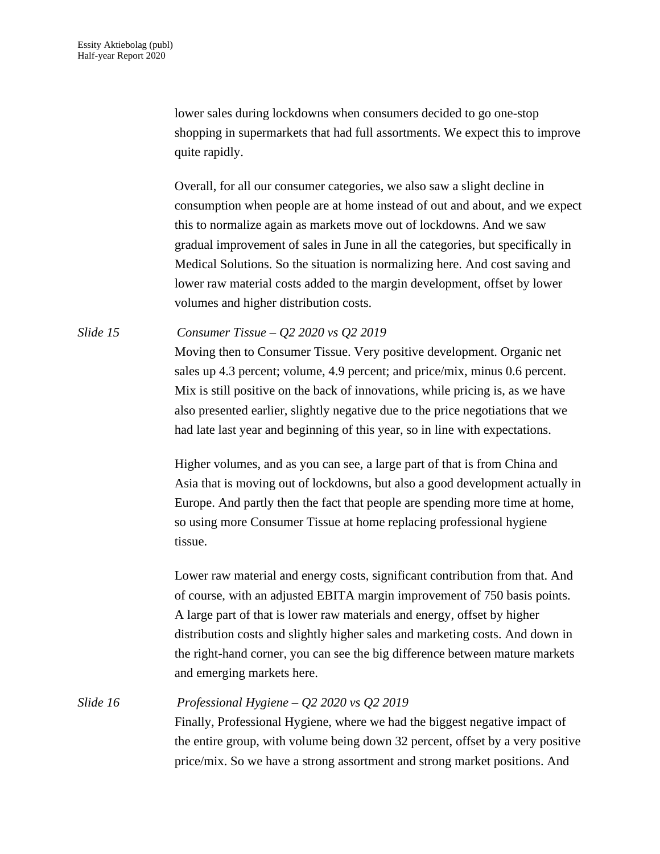lower sales during lockdowns when consumers decided to go one-stop shopping in supermarkets that had full assortments. We expect this to improve quite rapidly.

Overall, for all our consumer categories, we also saw a slight decline in consumption when people are at home instead of out and about, and we expect this to normalize again as markets move out of lockdowns. And we saw gradual improvement of sales in June in all the categories, but specifically in Medical Solutions. So the situation is normalizing here. And cost saving and lower raw material costs added to the margin development, offset by lower volumes and higher distribution costs.

*Slide 15 Consumer Tissue – Q2 2020 vs Q2 2019* Moving then to Consumer Tissue. Very positive development. Organic net sales up 4.3 percent; volume, 4.9 percent; and price/mix, minus 0.6 percent. Mix is still positive on the back of innovations, while pricing is, as we have also presented earlier, slightly negative due to the price negotiations that we had late last year and beginning of this year, so in line with expectations.

> Higher volumes, and as you can see, a large part of that is from China and Asia that is moving out of lockdowns, but also a good development actually in Europe. And partly then the fact that people are spending more time at home, so using more Consumer Tissue at home replacing professional hygiene tissue.

Lower raw material and energy costs, significant contribution from that. And of course, with an adjusted EBITA margin improvement of 750 basis points. A large part of that is lower raw materials and energy, offset by higher distribution costs and slightly higher sales and marketing costs. And down in the right-hand corner, you can see the big difference between mature markets and emerging markets here.

*Slide 16 Professional Hygiene – Q2 2020 vs Q2 2019* Finally, Professional Hygiene, where we had the biggest negative impact of the entire group, with volume being down 32 percent, offset by a very positive price/mix. So we have a strong assortment and strong market positions. And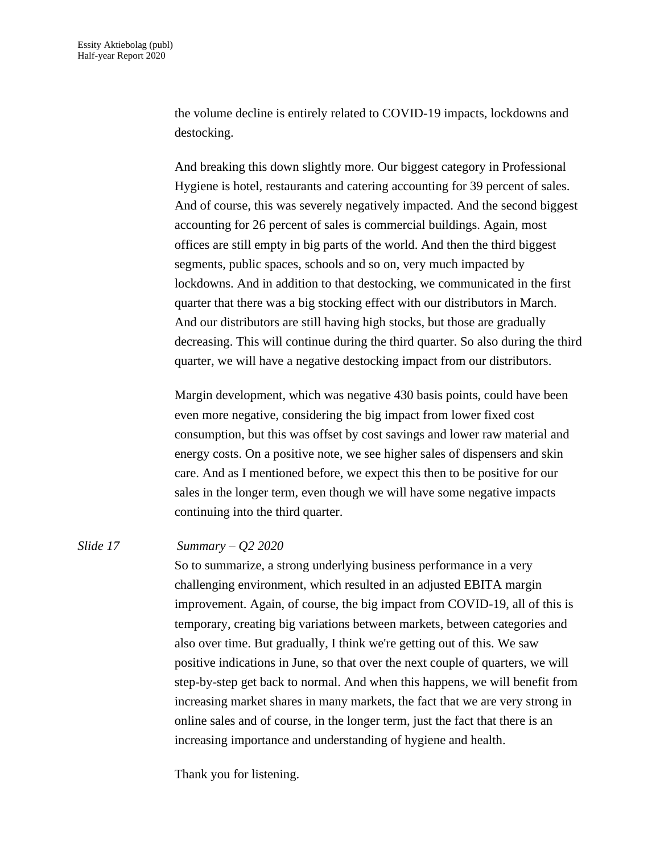the volume decline is entirely related to COVID-19 impacts, lockdowns and destocking.

And breaking this down slightly more. Our biggest category in Professional Hygiene is hotel, restaurants and catering accounting for 39 percent of sales. And of course, this was severely negatively impacted. And the second biggest accounting for 26 percent of sales is commercial buildings. Again, most offices are still empty in big parts of the world. And then the third biggest segments, public spaces, schools and so on, very much impacted by lockdowns. And in addition to that destocking, we communicated in the first quarter that there was a big stocking effect with our distributors in March. And our distributors are still having high stocks, but those are gradually decreasing. This will continue during the third quarter. So also during the third quarter, we will have a negative destocking impact from our distributors.

Margin development, which was negative 430 basis points, could have been even more negative, considering the big impact from lower fixed cost consumption, but this was offset by cost savings and lower raw material and energy costs. On a positive note, we see higher sales of dispensers and skin care. And as I mentioned before, we expect this then to be positive for our sales in the longer term, even though we will have some negative impacts continuing into the third quarter.

### *Slide 17 Summary – Q2 2020*

So to summarize, a strong underlying business performance in a very challenging environment, which resulted in an adjusted EBITA margin improvement. Again, of course, the big impact from COVID-19, all of this is temporary, creating big variations between markets, between categories and also over time. But gradually, I think we're getting out of this. We saw positive indications in June, so that over the next couple of quarters, we will step-by-step get back to normal. And when this happens, we will benefit from increasing market shares in many markets, the fact that we are very strong in online sales and of course, in the longer term, just the fact that there is an increasing importance and understanding of hygiene and health.

Thank you for listening.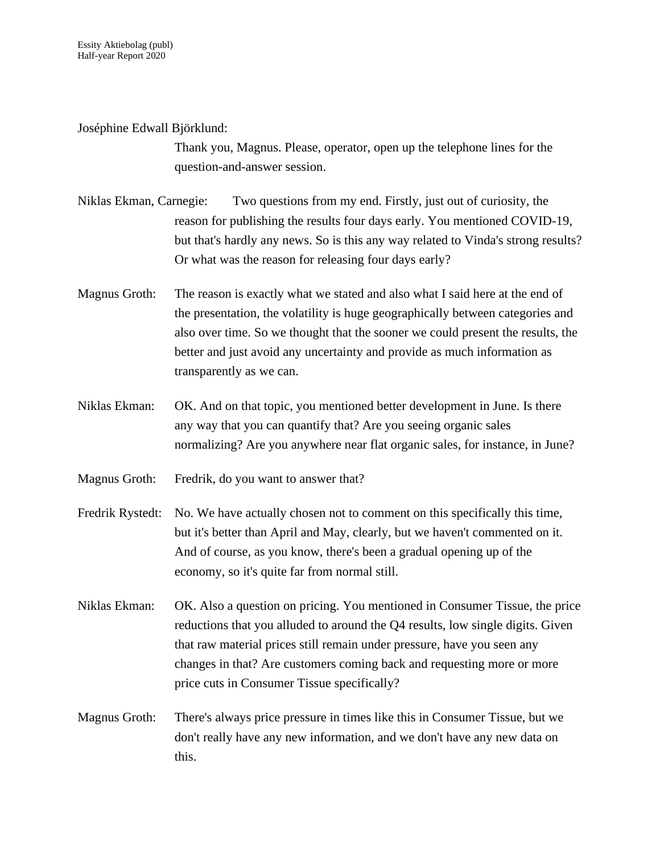Joséphine Edwall Björklund:

Thank you, Magnus. Please, operator, open up the telephone lines for the question-and-answer session.

- Niklas Ekman, Carnegie: Two questions from my end. Firstly, just out of curiosity, the reason for publishing the results four days early. You mentioned COVID-19, but that's hardly any news. So is this any way related to Vinda's strong results? Or what was the reason for releasing four days early?
- Magnus Groth: The reason is exactly what we stated and also what I said here at the end of the presentation, the volatility is huge geographically between categories and also over time. So we thought that the sooner we could present the results, the better and just avoid any uncertainty and provide as much information as transparently as we can.
- Niklas Ekman: OK. And on that topic, you mentioned better development in June. Is there any way that you can quantify that? Are you seeing organic sales normalizing? Are you anywhere near flat organic sales, for instance, in June?
- Magnus Groth: Fredrik, do you want to answer that?
- Fredrik Rystedt: No. We have actually chosen not to comment on this specifically this time, but it's better than April and May, clearly, but we haven't commented on it. And of course, as you know, there's been a gradual opening up of the economy, so it's quite far from normal still.
- Niklas Ekman: OK. Also a question on pricing. You mentioned in Consumer Tissue, the price reductions that you alluded to around the Q4 results, low single digits. Given that raw material prices still remain under pressure, have you seen any changes in that? Are customers coming back and requesting more or more price cuts in Consumer Tissue specifically?
- Magnus Groth: There's always price pressure in times like this in Consumer Tissue, but we don't really have any new information, and we don't have any new data on this.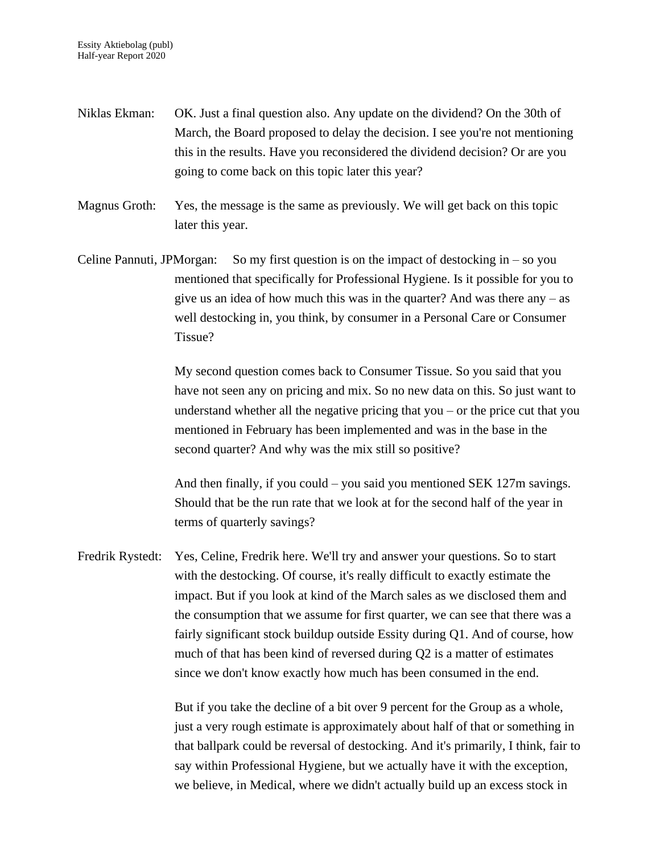- Niklas Ekman: OK. Just a final question also. Any update on the dividend? On the 30th of March, the Board proposed to delay the decision. I see you're not mentioning this in the results. Have you reconsidered the dividend decision? Or are you going to come back on this topic later this year?
- Magnus Groth: Yes, the message is the same as previously. We will get back on this topic later this year.
- Celine Pannuti, JPMorgan: So my first question is on the impact of destocking in  $-$  so you mentioned that specifically for Professional Hygiene. Is it possible for you to give us an idea of how much this was in the quarter? And was there any – as well destocking in, you think, by consumer in a Personal Care or Consumer Tissue?

My second question comes back to Consumer Tissue. So you said that you have not seen any on pricing and mix. So no new data on this. So just want to understand whether all the negative pricing that you – or the price cut that you mentioned in February has been implemented and was in the base in the second quarter? And why was the mix still so positive?

And then finally, if you could – you said you mentioned SEK 127m savings. Should that be the run rate that we look at for the second half of the year in terms of quarterly savings?

Fredrik Rystedt: Yes, Celine, Fredrik here. We'll try and answer your questions. So to start with the destocking. Of course, it's really difficult to exactly estimate the impact. But if you look at kind of the March sales as we disclosed them and the consumption that we assume for first quarter, we can see that there was a fairly significant stock buildup outside Essity during Q1. And of course, how much of that has been kind of reversed during Q2 is a matter of estimates since we don't know exactly how much has been consumed in the end.

> But if you take the decline of a bit over 9 percent for the Group as a whole, just a very rough estimate is approximately about half of that or something in that ballpark could be reversal of destocking. And it's primarily, I think, fair to say within Professional Hygiene, but we actually have it with the exception, we believe, in Medical, where we didn't actually build up an excess stock in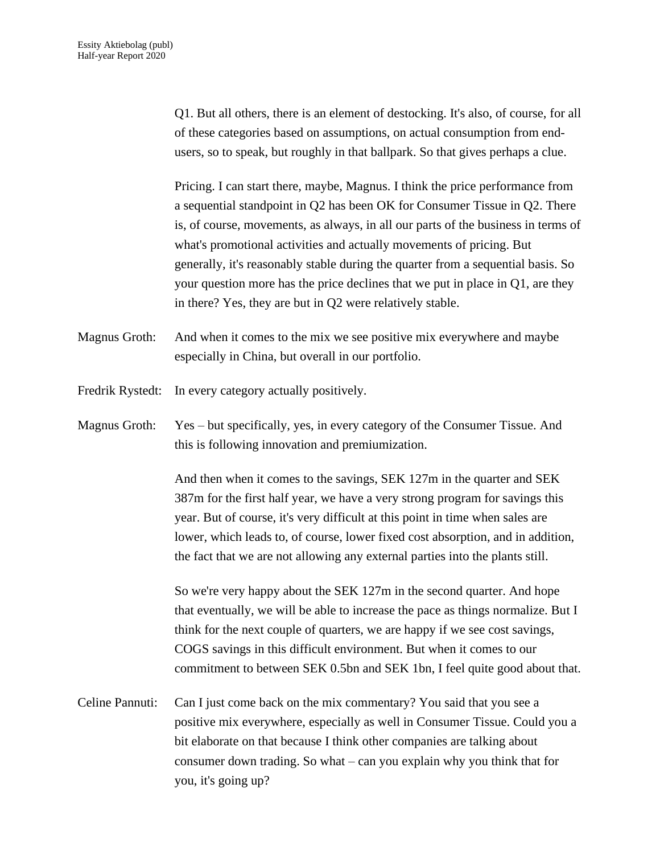Q1. But all others, there is an element of destocking. It's also, of course, for all of these categories based on assumptions, on actual consumption from endusers, so to speak, but roughly in that ballpark. So that gives perhaps a clue.

Pricing. I can start there, maybe, Magnus. I think the price performance from a sequential standpoint in Q2 has been OK for Consumer Tissue in Q2. There is, of course, movements, as always, in all our parts of the business in terms of what's promotional activities and actually movements of pricing. But generally, it's reasonably stable during the quarter from a sequential basis. So your question more has the price declines that we put in place in Q1, are they in there? Yes, they are but in Q2 were relatively stable.

Magnus Groth: And when it comes to the mix we see positive mix everywhere and maybe especially in China, but overall in our portfolio.

Fredrik Rystedt: In every category actually positively.

Magnus Groth: Yes – but specifically, yes, in every category of the Consumer Tissue. And this is following innovation and premiumization.

> And then when it comes to the savings, SEK 127m in the quarter and SEK 387m for the first half year, we have a very strong program for savings this year. But of course, it's very difficult at this point in time when sales are lower, which leads to, of course, lower fixed cost absorption, and in addition, the fact that we are not allowing any external parties into the plants still.

So we're very happy about the SEK 127m in the second quarter. And hope that eventually, we will be able to increase the pace as things normalize. But I think for the next couple of quarters, we are happy if we see cost savings, COGS savings in this difficult environment. But when it comes to our commitment to between SEK 0.5bn and SEK 1bn, I feel quite good about that.

Celine Pannuti: Can I just come back on the mix commentary? You said that you see a positive mix everywhere, especially as well in Consumer Tissue. Could you a bit elaborate on that because I think other companies are talking about consumer down trading. So what – can you explain why you think that for you, it's going up?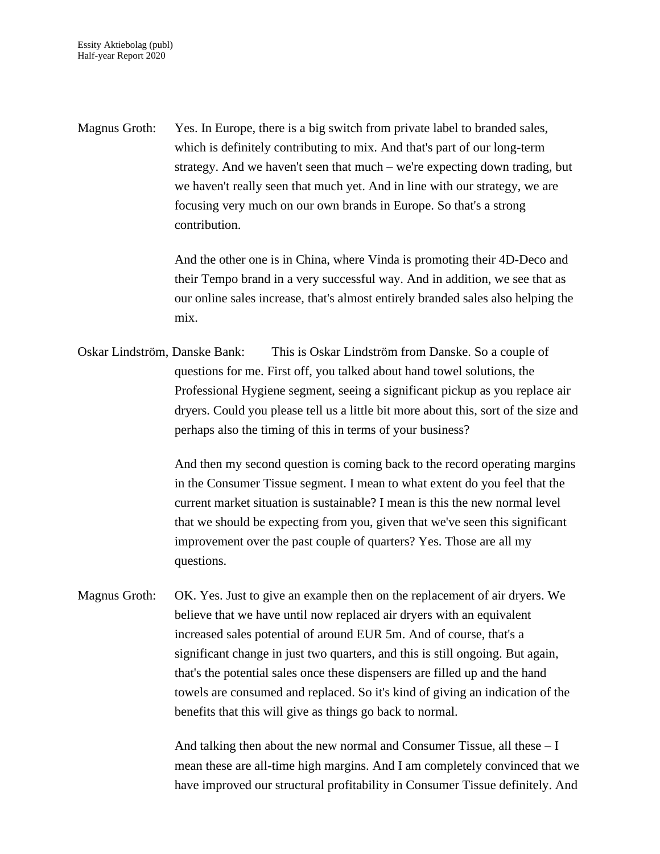Magnus Groth: Yes. In Europe, there is a big switch from private label to branded sales, which is definitely contributing to mix. And that's part of our long-term strategy. And we haven't seen that much – we're expecting down trading, but we haven't really seen that much yet. And in line with our strategy, we are focusing very much on our own brands in Europe. So that's a strong contribution.

> And the other one is in China, where Vinda is promoting their 4D-Deco and their Tempo brand in a very successful way. And in addition, we see that as our online sales increase, that's almost entirely branded sales also helping the mix.

Oskar Lindström, Danske Bank: This is Oskar Lindström from Danske. So a couple of questions for me. First off, you talked about hand towel solutions, the Professional Hygiene segment, seeing a significant pickup as you replace air dryers. Could you please tell us a little bit more about this, sort of the size and perhaps also the timing of this in terms of your business?

> And then my second question is coming back to the record operating margins in the Consumer Tissue segment. I mean to what extent do you feel that the current market situation is sustainable? I mean is this the new normal level that we should be expecting from you, given that we've seen this significant improvement over the past couple of quarters? Yes. Those are all my questions.

Magnus Groth: OK. Yes. Just to give an example then on the replacement of air dryers. We believe that we have until now replaced air dryers with an equivalent increased sales potential of around EUR 5m. And of course, that's a significant change in just two quarters, and this is still ongoing. But again, that's the potential sales once these dispensers are filled up and the hand towels are consumed and replaced. So it's kind of giving an indication of the benefits that this will give as things go back to normal.

> And talking then about the new normal and Consumer Tissue, all these  $-I$ mean these are all-time high margins. And I am completely convinced that we have improved our structural profitability in Consumer Tissue definitely. And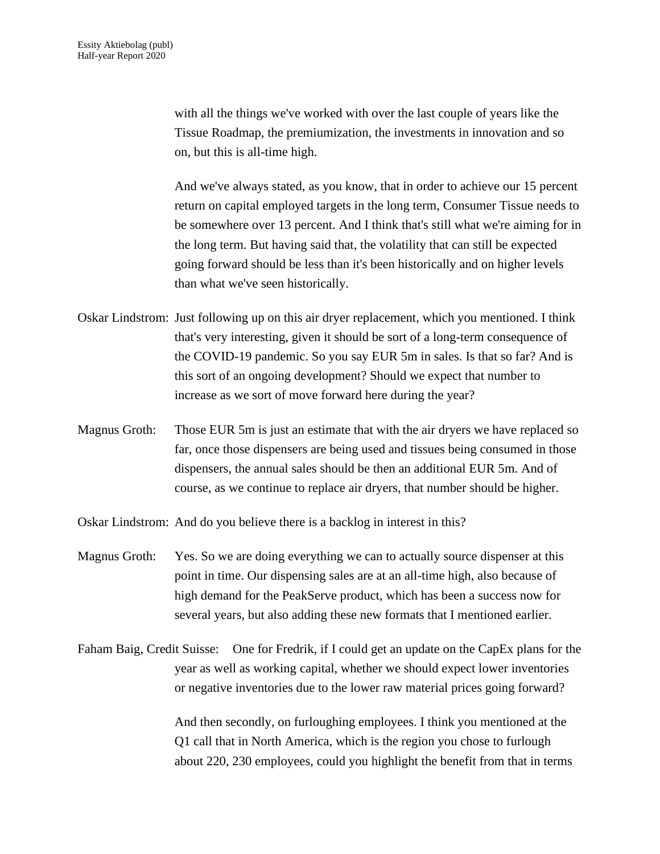with all the things we've worked with over the last couple of years like the Tissue Roadmap, the premiumization, the investments in innovation and so on, but this is all-time high.

And we've always stated, as you know, that in order to achieve our 15 percent return on capital employed targets in the long term, Consumer Tissue needs to be somewhere over 13 percent. And I think that's still what we're aiming for in the long term. But having said that, the volatility that can still be expected going forward should be less than it's been historically and on higher levels than what we've seen historically.

- Oskar Lindstrom: Just following up on this air dryer replacement, which you mentioned. I think that's very interesting, given it should be sort of a long-term consequence of the COVID-19 pandemic. So you say EUR 5m in sales. Is that so far? And is this sort of an ongoing development? Should we expect that number to increase as we sort of move forward here during the year?
- Magnus Groth: Those EUR 5m is just an estimate that with the air dryers we have replaced so far, once those dispensers are being used and tissues being consumed in those dispensers, the annual sales should be then an additional EUR 5m. And of course, as we continue to replace air dryers, that number should be higher.

Oskar Lindstrom: And do you believe there is a backlog in interest in this?

- Magnus Groth: Yes. So we are doing everything we can to actually source dispenser at this point in time. Our dispensing sales are at an all-time high, also because of high demand for the PeakServe product, which has been a success now for several years, but also adding these new formats that I mentioned earlier.
- Faham Baig, Credit Suisse: One for Fredrik, if I could get an update on the CapEx plans for the year as well as working capital, whether we should expect lower inventories or negative inventories due to the lower raw material prices going forward?

And then secondly, on furloughing employees. I think you mentioned at the Q1 call that in North America, which is the region you chose to furlough about 220, 230 employees, could you highlight the benefit from that in terms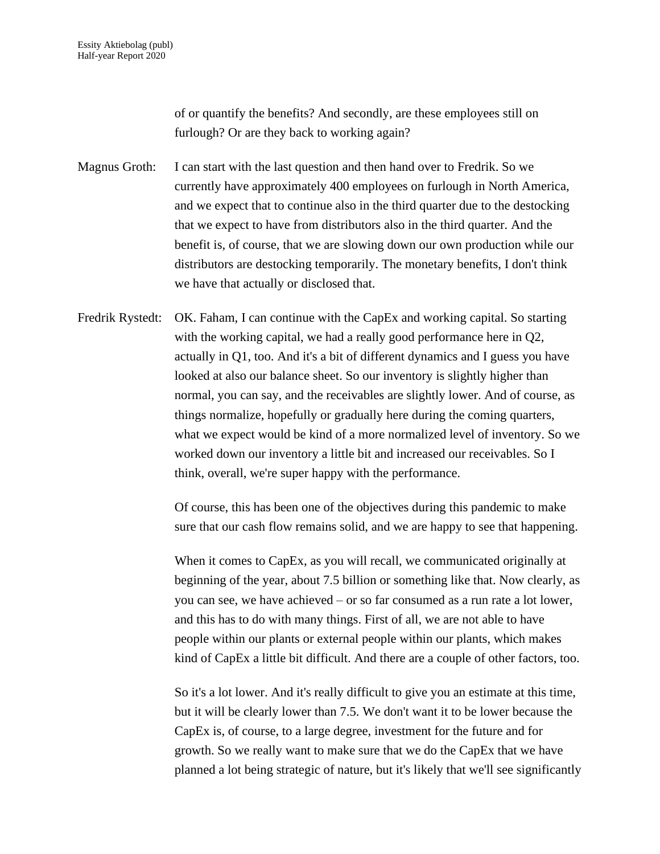of or quantify the benefits? And secondly, are these employees still on furlough? Or are they back to working again?

Magnus Groth: I can start with the last question and then hand over to Fredrik. So we currently have approximately 400 employees on furlough in North America, and we expect that to continue also in the third quarter due to the destocking that we expect to have from distributors also in the third quarter. And the benefit is, of course, that we are slowing down our own production while our distributors are destocking temporarily. The monetary benefits, I don't think we have that actually or disclosed that.

Fredrik Rystedt: OK. Faham, I can continue with the CapEx and working capital. So starting with the working capital, we had a really good performance here in Q2, actually in Q1, too. And it's a bit of different dynamics and I guess you have looked at also our balance sheet. So our inventory is slightly higher than normal, you can say, and the receivables are slightly lower. And of course, as things normalize, hopefully or gradually here during the coming quarters, what we expect would be kind of a more normalized level of inventory. So we worked down our inventory a little bit and increased our receivables. So I think, overall, we're super happy with the performance.

> Of course, this has been one of the objectives during this pandemic to make sure that our cash flow remains solid, and we are happy to see that happening.

> When it comes to CapEx, as you will recall, we communicated originally at beginning of the year, about 7.5 billion or something like that. Now clearly, as you can see, we have achieved – or so far consumed as a run rate a lot lower, and this has to do with many things. First of all, we are not able to have people within our plants or external people within our plants, which makes kind of CapEx a little bit difficult. And there are a couple of other factors, too.

> So it's a lot lower. And it's really difficult to give you an estimate at this time, but it will be clearly lower than 7.5. We don't want it to be lower because the CapEx is, of course, to a large degree, investment for the future and for growth. So we really want to make sure that we do the CapEx that we have planned a lot being strategic of nature, but it's likely that we'll see significantly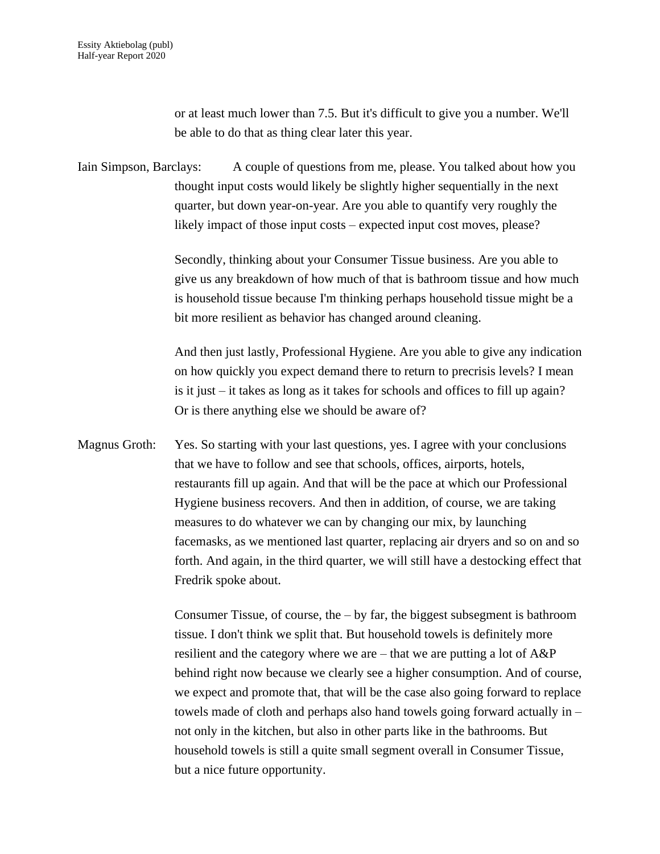or at least much lower than 7.5. But it's difficult to give you a number. We'll be able to do that as thing clear later this year.

Iain Simpson, Barclays: A couple of questions from me, please. You talked about how you thought input costs would likely be slightly higher sequentially in the next quarter, but down year-on-year. Are you able to quantify very roughly the likely impact of those input costs – expected input cost moves, please?

> Secondly, thinking about your Consumer Tissue business. Are you able to give us any breakdown of how much of that is bathroom tissue and how much is household tissue because I'm thinking perhaps household tissue might be a bit more resilient as behavior has changed around cleaning.

> And then just lastly, Professional Hygiene. Are you able to give any indication on how quickly you expect demand there to return to precrisis levels? I mean is it just – it takes as long as it takes for schools and offices to fill up again? Or is there anything else we should be aware of?

Magnus Groth: Yes. So starting with your last questions, yes. I agree with your conclusions that we have to follow and see that schools, offices, airports, hotels, restaurants fill up again. And that will be the pace at which our Professional Hygiene business recovers. And then in addition, of course, we are taking measures to do whatever we can by changing our mix, by launching facemasks, as we mentioned last quarter, replacing air dryers and so on and so forth. And again, in the third quarter, we will still have a destocking effect that Fredrik spoke about.

> Consumer Tissue, of course, the  $-$  by far, the biggest subsegment is bathroom tissue. I don't think we split that. But household towels is definitely more resilient and the category where we are – that we are putting a lot of A&P behind right now because we clearly see a higher consumption. And of course, we expect and promote that, that will be the case also going forward to replace towels made of cloth and perhaps also hand towels going forward actually in – not only in the kitchen, but also in other parts like in the bathrooms. But household towels is still a quite small segment overall in Consumer Tissue, but a nice future opportunity.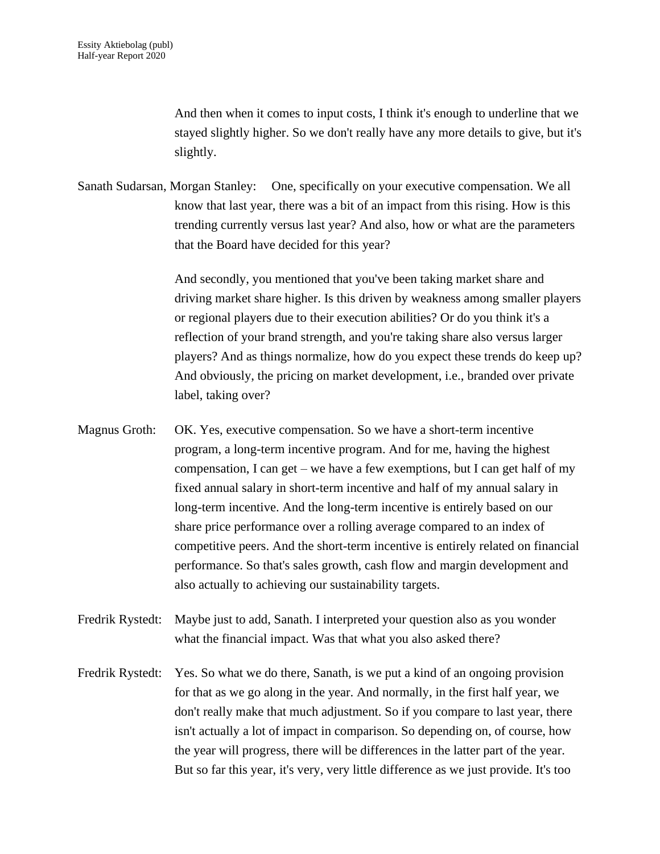And then when it comes to input costs, I think it's enough to underline that we stayed slightly higher. So we don't really have any more details to give, but it's slightly.

Sanath Sudarsan, Morgan Stanley: One, specifically on your executive compensation. We all know that last year, there was a bit of an impact from this rising. How is this trending currently versus last year? And also, how or what are the parameters that the Board have decided for this year?

> And secondly, you mentioned that you've been taking market share and driving market share higher. Is this driven by weakness among smaller players or regional players due to their execution abilities? Or do you think it's a reflection of your brand strength, and you're taking share also versus larger players? And as things normalize, how do you expect these trends do keep up? And obviously, the pricing on market development, i.e., branded over private label, taking over?

- Magnus Groth: OK. Yes, executive compensation. So we have a short-term incentive program, a long-term incentive program. And for me, having the highest compensation, I can get – we have a few exemptions, but I can get half of my fixed annual salary in short-term incentive and half of my annual salary in long-term incentive. And the long-term incentive is entirely based on our share price performance over a rolling average compared to an index of competitive peers. And the short-term incentive is entirely related on financial performance. So that's sales growth, cash flow and margin development and also actually to achieving our sustainability targets.
- Fredrik Rystedt: Maybe just to add, Sanath. I interpreted your question also as you wonder what the financial impact. Was that what you also asked there?
- Fredrik Rystedt: Yes. So what we do there, Sanath, is we put a kind of an ongoing provision for that as we go along in the year. And normally, in the first half year, we don't really make that much adjustment. So if you compare to last year, there isn't actually a lot of impact in comparison. So depending on, of course, how the year will progress, there will be differences in the latter part of the year. But so far this year, it's very, very little difference as we just provide. It's too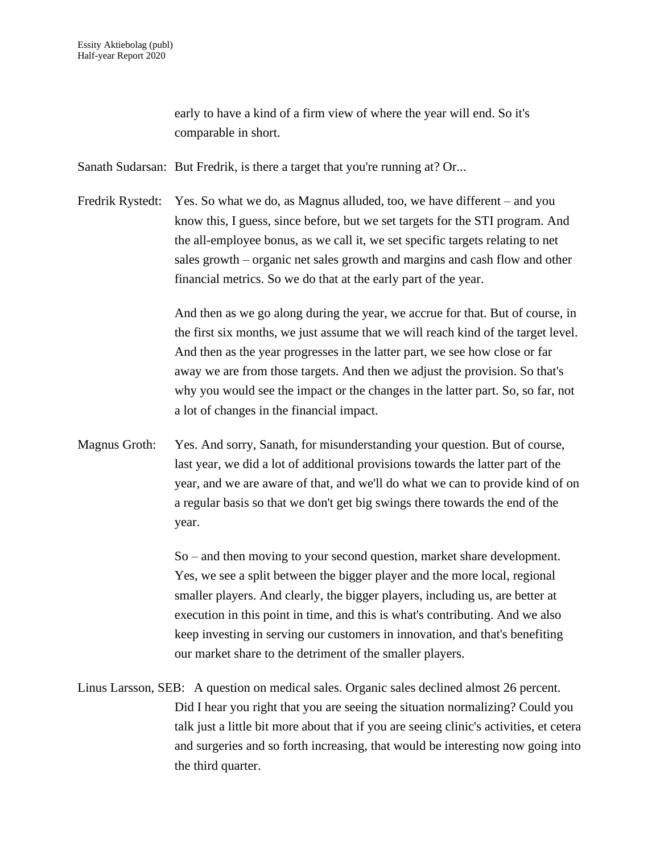early to have a kind of a firm view of where the year will end. So it's comparable in short.

Sanath Sudarsan: But Fredrik, is there a target that you're running at? Or...

Fredrik Rystedt: Yes. So what we do, as Magnus alluded, too, we have different – and you know this, I guess, since before, but we set targets for the STI program. And the all-employee bonus, as we call it, we set specific targets relating to net sales growth – organic net sales growth and margins and cash flow and other financial metrics. So we do that at the early part of the year.

> And then as we go along during the year, we accrue for that. But of course, in the first six months, we just assume that we will reach kind of the target level. And then as the year progresses in the latter part, we see how close or far away we are from those targets. And then we adjust the provision. So that's why you would see the impact or the changes in the latter part. So, so far, not a lot of changes in the financial impact.

Magnus Groth: Yes. And sorry, Sanath, for misunderstanding your question. But of course, last year, we did a lot of additional provisions towards the latter part of the year, and we are aware of that, and we'll do what we can to provide kind of on a regular basis so that we don't get big swings there towards the end of the year.

> So – and then moving to your second question, market share development. Yes, we see a split between the bigger player and the more local, regional smaller players. And clearly, the bigger players, including us, are better at execution in this point in time, and this is what's contributing. And we also keep investing in serving our customers in innovation, and that's benefiting our market share to the detriment of the smaller players.

Linus Larsson, SEB: A question on medical sales. Organic sales declined almost 26 percent. Did I hear you right that you are seeing the situation normalizing? Could you talk just a little bit more about that if you are seeing clinic's activities, et cetera and surgeries and so forth increasing, that would be interesting now going into the third quarter.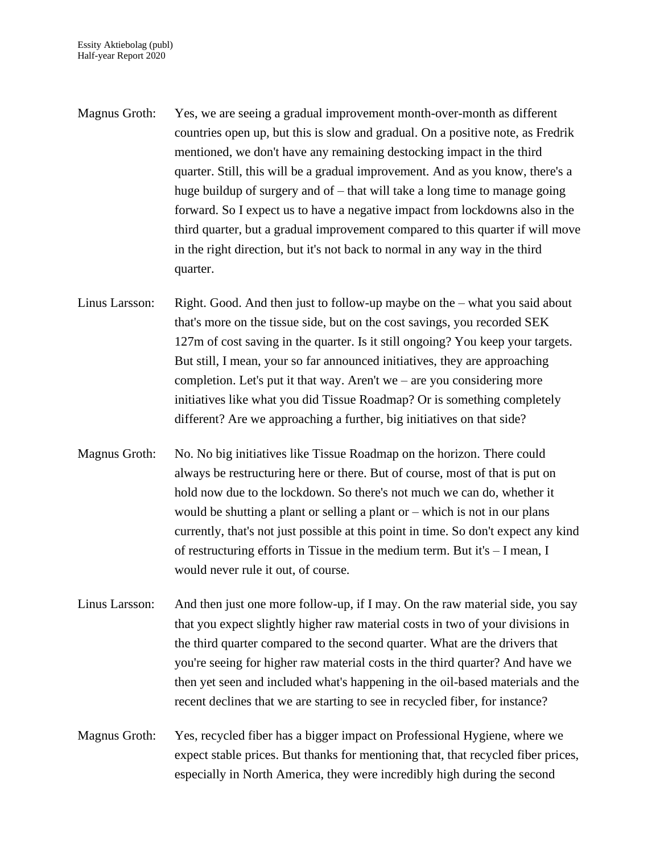- Magnus Groth: Yes, we are seeing a gradual improvement month-over-month as different countries open up, but this is slow and gradual. On a positive note, as Fredrik mentioned, we don't have any remaining destocking impact in the third quarter. Still, this will be a gradual improvement. And as you know, there's a huge buildup of surgery and of – that will take a long time to manage going forward. So I expect us to have a negative impact from lockdowns also in the third quarter, but a gradual improvement compared to this quarter if will move in the right direction, but it's not back to normal in any way in the third quarter.
- Linus Larsson: Right. Good. And then just to follow-up maybe on the what you said about that's more on the tissue side, but on the cost savings, you recorded SEK 127m of cost saving in the quarter. Is it still ongoing? You keep your targets. But still, I mean, your so far announced initiatives, they are approaching completion. Let's put it that way. Aren't we – are you considering more initiatives like what you did Tissue Roadmap? Or is something completely different? Are we approaching a further, big initiatives on that side?
- Magnus Groth: No. No big initiatives like Tissue Roadmap on the horizon. There could always be restructuring here or there. But of course, most of that is put on hold now due to the lockdown. So there's not much we can do, whether it would be shutting a plant or selling a plant or – which is not in our plans currently, that's not just possible at this point in time. So don't expect any kind of restructuring efforts in Tissue in the medium term. But it's – I mean, I would never rule it out, of course.
- Linus Larsson: And then just one more follow-up, if I may. On the raw material side, you say that you expect slightly higher raw material costs in two of your divisions in the third quarter compared to the second quarter. What are the drivers that you're seeing for higher raw material costs in the third quarter? And have we then yet seen and included what's happening in the oil-based materials and the recent declines that we are starting to see in recycled fiber, for instance?
- Magnus Groth: Yes, recycled fiber has a bigger impact on Professional Hygiene, where we expect stable prices. But thanks for mentioning that, that recycled fiber prices, especially in North America, they were incredibly high during the second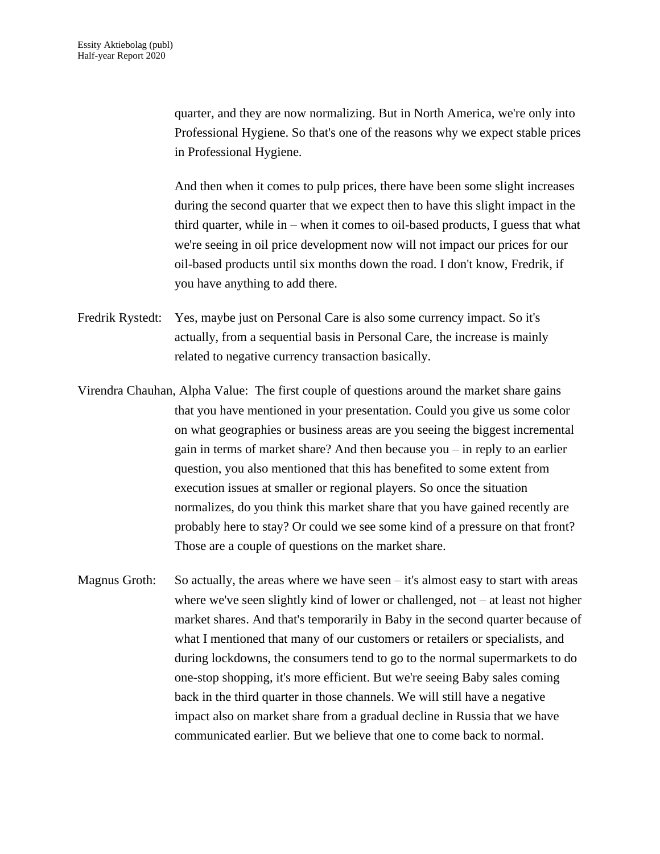quarter, and they are now normalizing. But in North America, we're only into Professional Hygiene. So that's one of the reasons why we expect stable prices in Professional Hygiene.

And then when it comes to pulp prices, there have been some slight increases during the second quarter that we expect then to have this slight impact in the third quarter, while in – when it comes to oil-based products, I guess that what we're seeing in oil price development now will not impact our prices for our oil-based products until six months down the road. I don't know, Fredrik, if you have anything to add there.

Fredrik Rystedt: Yes, maybe just on Personal Care is also some currency impact. So it's actually, from a sequential basis in Personal Care, the increase is mainly related to negative currency transaction basically.

Virendra Chauhan, Alpha Value: The first couple of questions around the market share gains that you have mentioned in your presentation. Could you give us some color on what geographies or business areas are you seeing the biggest incremental gain in terms of market share? And then because you – in reply to an earlier question, you also mentioned that this has benefited to some extent from execution issues at smaller or regional players. So once the situation normalizes, do you think this market share that you have gained recently are probably here to stay? Or could we see some kind of a pressure on that front? Those are a couple of questions on the market share.

Magnus Groth: So actually, the areas where we have seen  $-$  it's almost easy to start with areas where we've seen slightly kind of lower or challenged, not – at least not higher market shares. And that's temporarily in Baby in the second quarter because of what I mentioned that many of our customers or retailers or specialists, and during lockdowns, the consumers tend to go to the normal supermarkets to do one-stop shopping, it's more efficient. But we're seeing Baby sales coming back in the third quarter in those channels. We will still have a negative impact also on market share from a gradual decline in Russia that we have communicated earlier. But we believe that one to come back to normal.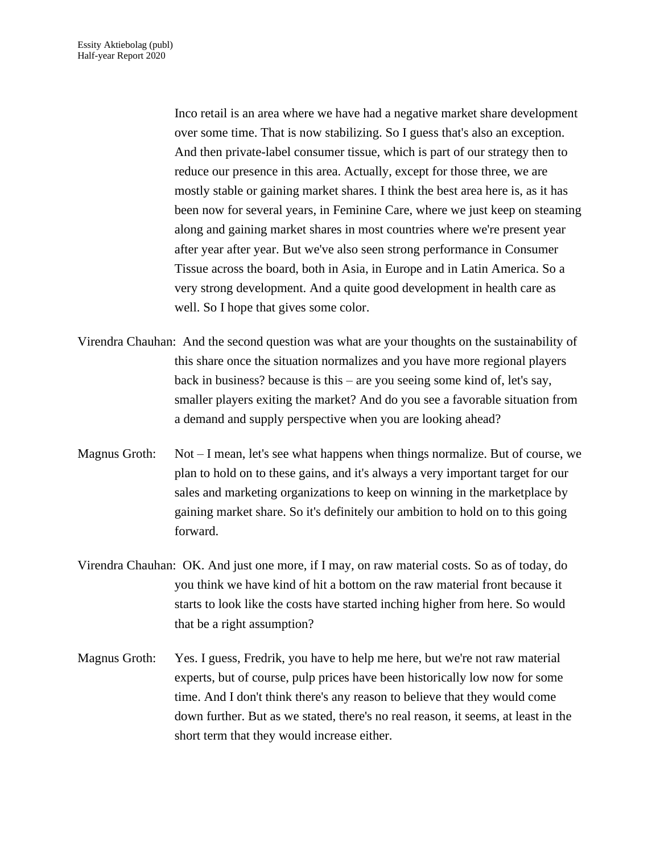Inco retail is an area where we have had a negative market share development over some time. That is now stabilizing. So I guess that's also an exception. And then private-label consumer tissue, which is part of our strategy then to reduce our presence in this area. Actually, except for those three, we are mostly stable or gaining market shares. I think the best area here is, as it has been now for several years, in Feminine Care, where we just keep on steaming along and gaining market shares in most countries where we're present year after year after year. But we've also seen strong performance in Consumer Tissue across the board, both in Asia, in Europe and in Latin America. So a very strong development. And a quite good development in health care as well. So I hope that gives some color.

- Virendra Chauhan: And the second question was what are your thoughts on the sustainability of this share once the situation normalizes and you have more regional players back in business? because is this – are you seeing some kind of, let's say, smaller players exiting the market? And do you see a favorable situation from a demand and supply perspective when you are looking ahead?
- Magnus Groth: Not I mean, let's see what happens when things normalize. But of course, we plan to hold on to these gains, and it's always a very important target for our sales and marketing organizations to keep on winning in the marketplace by gaining market share. So it's definitely our ambition to hold on to this going forward.
- Virendra Chauhan: OK. And just one more, if I may, on raw material costs. So as of today, do you think we have kind of hit a bottom on the raw material front because it starts to look like the costs have started inching higher from here. So would that be a right assumption?
- Magnus Groth: Yes. I guess, Fredrik, you have to help me here, but we're not raw material experts, but of course, pulp prices have been historically low now for some time. And I don't think there's any reason to believe that they would come down further. But as we stated, there's no real reason, it seems, at least in the short term that they would increase either.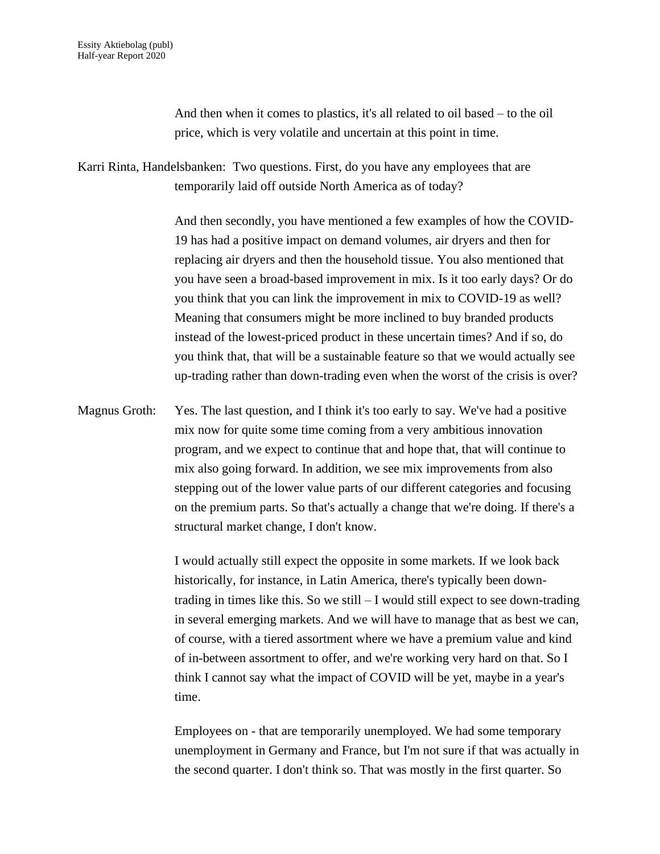And then when it comes to plastics, it's all related to oil based – to the oil price, which is very volatile and uncertain at this point in time.

Karri Rinta, Handelsbanken: Two questions. First, do you have any employees that are temporarily laid off outside North America as of today?

> And then secondly, you have mentioned a few examples of how the COVID-19 has had a positive impact on demand volumes, air dryers and then for replacing air dryers and then the household tissue. You also mentioned that you have seen a broad-based improvement in mix. Is it too early days? Or do you think that you can link the improvement in mix to COVID-19 as well? Meaning that consumers might be more inclined to buy branded products instead of the lowest-priced product in these uncertain times? And if so, do you think that, that will be a sustainable feature so that we would actually see up-trading rather than down-trading even when the worst of the crisis is over?

Magnus Groth: Yes. The last question, and I think it's too early to say. We've had a positive mix now for quite some time coming from a very ambitious innovation program, and we expect to continue that and hope that, that will continue to mix also going forward. In addition, we see mix improvements from also stepping out of the lower value parts of our different categories and focusing on the premium parts. So that's actually a change that we're doing. If there's a structural market change, I don't know.

> I would actually still expect the opposite in some markets. If we look back historically, for instance, in Latin America, there's typically been downtrading in times like this. So we still  $-I$  would still expect to see down-trading in several emerging markets. And we will have to manage that as best we can, of course, with a tiered assortment where we have a premium value and kind of in-between assortment to offer, and we're working very hard on that. So I think I cannot say what the impact of COVID will be yet, maybe in a year's time.

> Employees on - that are temporarily unemployed. We had some temporary unemployment in Germany and France, but I'm not sure if that was actually in the second quarter. I don't think so. That was mostly in the first quarter. So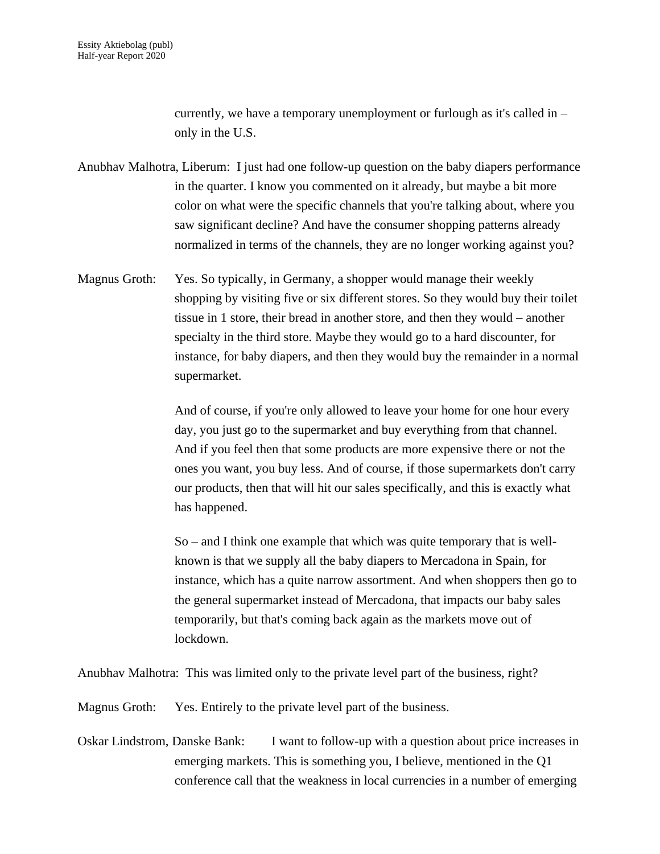currently, we have a temporary unemployment or furlough as it's called in – only in the U.S.

Anubhav Malhotra, Liberum: I just had one follow-up question on the baby diapers performance in the quarter. I know you commented on it already, but maybe a bit more color on what were the specific channels that you're talking about, where you saw significant decline? And have the consumer shopping patterns already normalized in terms of the channels, they are no longer working against you?

Magnus Groth: Yes. So typically, in Germany, a shopper would manage their weekly shopping by visiting five or six different stores. So they would buy their toilet tissue in 1 store, their bread in another store, and then they would – another specialty in the third store. Maybe they would go to a hard discounter, for instance, for baby diapers, and then they would buy the remainder in a normal supermarket.

> And of course, if you're only allowed to leave your home for one hour every day, you just go to the supermarket and buy everything from that channel. And if you feel then that some products are more expensive there or not the ones you want, you buy less. And of course, if those supermarkets don't carry our products, then that will hit our sales specifically, and this is exactly what has happened.

> So – and I think one example that which was quite temporary that is wellknown is that we supply all the baby diapers to Mercadona in Spain, for instance, which has a quite narrow assortment. And when shoppers then go to the general supermarket instead of Mercadona, that impacts our baby sales temporarily, but that's coming back again as the markets move out of lockdown.

Anubhav Malhotra: This was limited only to the private level part of the business, right?

Magnus Groth: Yes. Entirely to the private level part of the business.

Oskar Lindstrom, Danske Bank: I want to follow-up with a question about price increases in emerging markets. This is something you, I believe, mentioned in the Q1 conference call that the weakness in local currencies in a number of emerging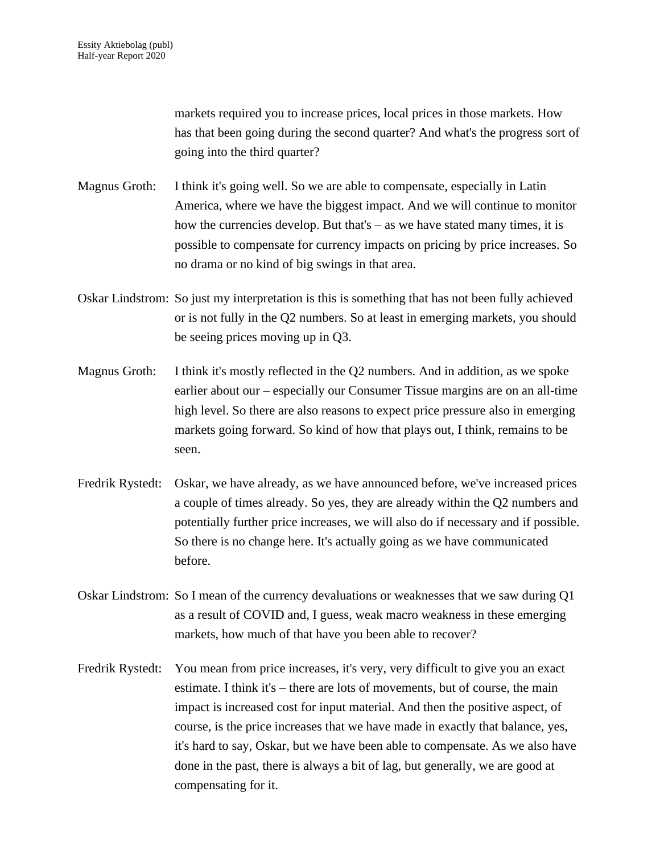markets required you to increase prices, local prices in those markets. How has that been going during the second quarter? And what's the progress sort of going into the third quarter?

- Magnus Groth: I think it's going well. So we are able to compensate, especially in Latin America, where we have the biggest impact. And we will continue to monitor how the currencies develop. But that's – as we have stated many times, it is possible to compensate for currency impacts on pricing by price increases. So no drama or no kind of big swings in that area.
- Oskar Lindstrom: So just my interpretation is this is something that has not been fully achieved or is not fully in the Q2 numbers. So at least in emerging markets, you should be seeing prices moving up in Q3.
- Magnus Groth: I think it's mostly reflected in the Q2 numbers. And in addition, as we spoke earlier about our – especially our Consumer Tissue margins are on an all-time high level. So there are also reasons to expect price pressure also in emerging markets going forward. So kind of how that plays out, I think, remains to be seen.
- Fredrik Rystedt: Oskar, we have already, as we have announced before, we've increased prices a couple of times already. So yes, they are already within the Q2 numbers and potentially further price increases, we will also do if necessary and if possible. So there is no change here. It's actually going as we have communicated before.
- Oskar Lindstrom: So I mean of the currency devaluations or weaknesses that we saw during Q1 as a result of COVID and, I guess, weak macro weakness in these emerging markets, how much of that have you been able to recover?
- Fredrik Rystedt: You mean from price increases, it's very, very difficult to give you an exact estimate. I think it's – there are lots of movements, but of course, the main impact is increased cost for input material. And then the positive aspect, of course, is the price increases that we have made in exactly that balance, yes, it's hard to say, Oskar, but we have been able to compensate. As we also have done in the past, there is always a bit of lag, but generally, we are good at compensating for it.